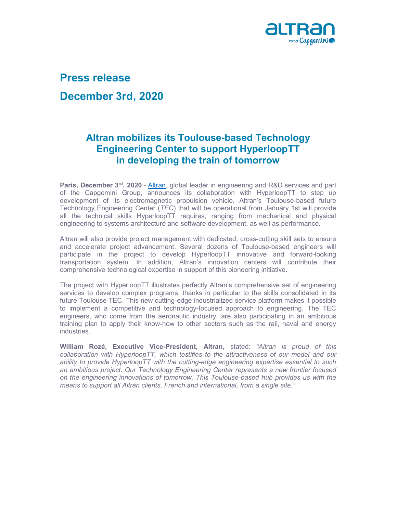

## Press release

## December 3rd, 2020

## Altran mobilizes its Toulouse-based Technology Engineering Center to support HyperloopTT in developing the train of tomorrow

Paris, December 3rd, 2020 - Altran, global leader in engineering and R&D services and part of the Capgemini Group, announces its collaboration with HyperloopTT to step up development of its electromagnetic propulsion vehicle. Altran's Toulouse-based future Technology Engineering Center (TEC) that will be operational from January 1st will provide all the technical skills HyperloopTT requires, ranging from mechanical and physical engineering to systems architecture and software development, as well as performance.

Altran will also provide project management with dedicated, cross-cutting skill sets to ensure and accelerate project advancement. Several dozens of Toulouse-based engineers will participate in the project to develop HyperloopTT innovative and forward-looking transportation system. In addition, Altran's innovation centers will contribute their comprehensive technological expertise in support of this pioneering initiative.

The project with HyperloopTT illustrates perfectly Altran's comprehensive set of engineering services to develop complex programs, thanks in particular to the skills consolidated in its future Toulouse TEC. This new cutting-edge industrialized service platform makes it possible to implement a competitive and technology-focused approach to engineering. The TEC engineers, who come from the aeronautic industry, are also participating in an ambitious training plan to apply their know-how to other sectors such as the rail, naval and energy industries.

William Rozé, Executive Vice-President, Altran, stated: "Altran is proud of this collaboration with HyperloopTT, which testifies to the attractiveness of our model and our ability to provide HyperloopTT with the cutting-edge engineering expertise essential to such an ambitious project. Our Technology Engineering Center represents a new frontier focused on the engineering innovations of tomorrow. This Toulouse-based hub provides us with the means to support all Altran clients, French and international, from a single site."